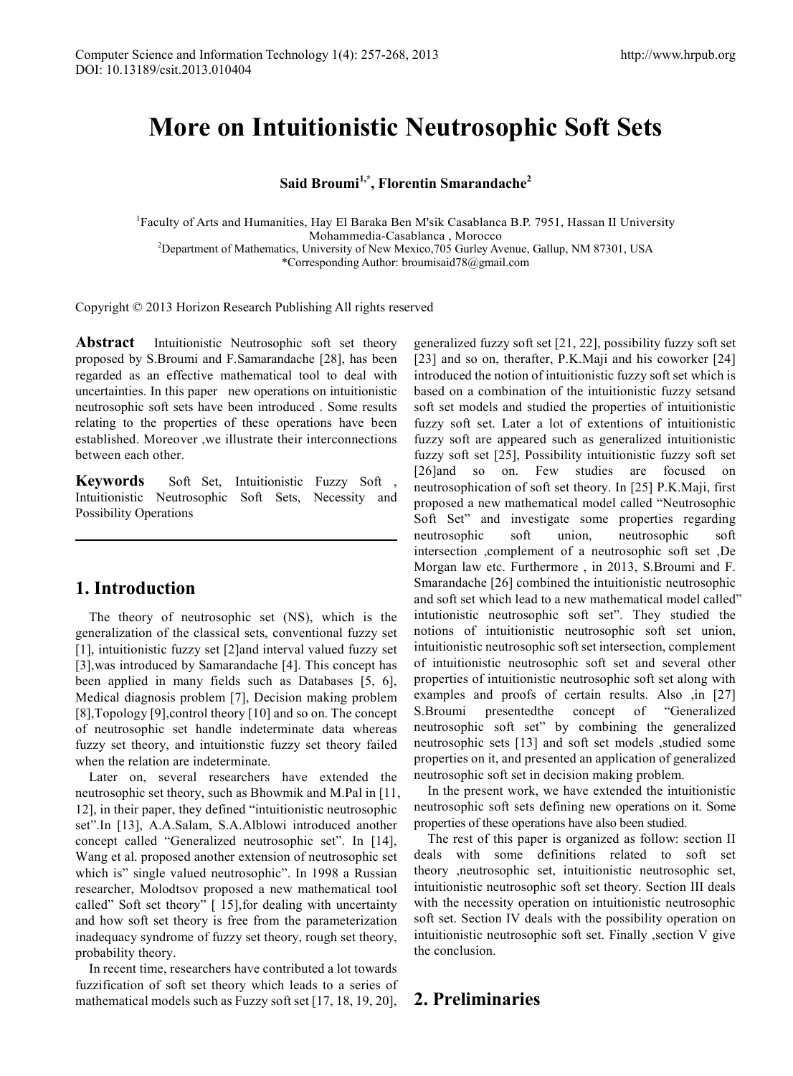# **More on Intuitionistic Neutrosophic Soft Sets**

# **Said Broumi1,\*, Florentin Smarandache2**

<sup>1</sup>Faculty of Arts and Humanities, Hay El Baraka Ben M'sik Casablanca B.P. 7951, Hassan II University Mohammedia-Casablanca , Morocco<br><sup>2</sup>Department of Mathematics, University of New Mexico,705 Gurley Avenue, Gallup, NM 87301, USA \*Corresponding Author: broumisaid78@gmail.com

Copyright © 2013 Horizon Research Publishing All rights reserved

**Abstract** Intuitionistic Neutrosophic soft set theory proposed by S.Broumi and F.Samarandache [28], has been regarded as an effective mathematical tool to deal with uncertainties. In this paper new operations on intuitionistic neutrosophic soft sets have been introduced . Some results relating to the properties of these operations have been established. Moreover ,we illustrate their interconnections between each other.

**Keywords** Soft Set, Intuitionistic Fuzzy Soft Intuitionistic Neutrosophic Soft Sets, Necessity and Possibility Operations

# **1. Introduction**

The theory of neutrosophic set (NS), which is the generalization of the classical sets, conventional fuzzy set [1], intuitionistic fuzzy set [2]and interval valued fuzzy set [3],was introduced by Samarandache [4]. This concept has been applied in many fields such as Databases [5, 6], Medical diagnosis problem [7], Decision making problem [8],Topology [9],control theory [10] and so on. The concept of neutrosophic set handle indeterminate data whereas fuzzy set theory, and intuitionstic fuzzy set theory failed when the relation are indeterminate.

Later on, several researchers have extended the neutrosophic set theory, such as Bhowmik and M.Pal in [11, 12], in their paper, they defined "intuitionistic neutrosophic set".In [13], A.A.Salam, S.A.Alblowi introduced another concept called "Generalized neutrosophic set". In [14], Wang et al. proposed another extension of neutrosophic set which is" single valued neutrosophic". In 1998 a Russian researcher, Molodtsov proposed a new mathematical tool called" Soft set theory" [ 15],for dealing with uncertainty and how soft set theory is free from the parameterization inadequacy syndrome of fuzzy set theory, rough set theory, probability theory.

In recent time, researchers have contributed a lot towards fuzzification of soft set theory which leads to a series of mathematical models such as Fuzzy soft set [17, 18, 19, 20],

generalized fuzzy soft set [21, 22], possibility fuzzy soft set [23] and so on, therafter, P.K.Maji and his coworker [24] introduced the notion of intuitionistic fuzzy soft set which is based on a combination of the intuitionistic fuzzy setsand soft set models and studied the properties of intuitionistic fuzzy soft set. Later a lot of extentions of intuitionistic fuzzy soft are appeared such as generalized intuitionistic fuzzy soft set [25], Possibility intuitionistic fuzzy soft set [26]and so on. Few studies are focused on neutrosophication of soft set theory. In [25] P.K.Maji, first proposed a new mathematical model called "Neutrosophic Soft Set" and investigate some properties regarding neutrosophic soft union, neutrosophic soft intersection ,complement of a neutrosophic soft set ,De Morgan law etc. Furthermore , in 2013, S.Broumi and F. Smarandache [26] combined the intuitionistic neutrosophic and soft set which lead to a new mathematical model called" intutionistic neutrosophic soft set". They studied the notions of intuitionistic neutrosophic soft set union, intuitionistic neutrosophic soft set intersection, complement of intuitionistic neutrosophic soft set and several other properties of intuitionistic neutrosophic soft set along with examples and proofs of certain results. Also ,in [27] S.Broumi presentedthe concept of "Generalized neutrosophic soft set" by combining the generalized neutrosophic sets [13] and soft set models ,studied some properties on it, and presented an application of generalized neutrosophic soft set in decision making problem.

In the present work, we have extended the intuitionistic neutrosophic soft sets defining new operations on it. Some properties of these operations have also been studied.

The rest of this paper is organized as follow: section II deals with some definitions related to soft set theory ,neutrosophic set, intuitionistic neutrosophic set, intuitionistic neutrosophic soft set theory. Section III deals with the necessity operation on intuitionistic neutrosophic soft set. Section IV deals with the possibility operation on intuitionistic neutrosophic soft set. Finally ,section V give the conclusion.

# **2. Preliminaries**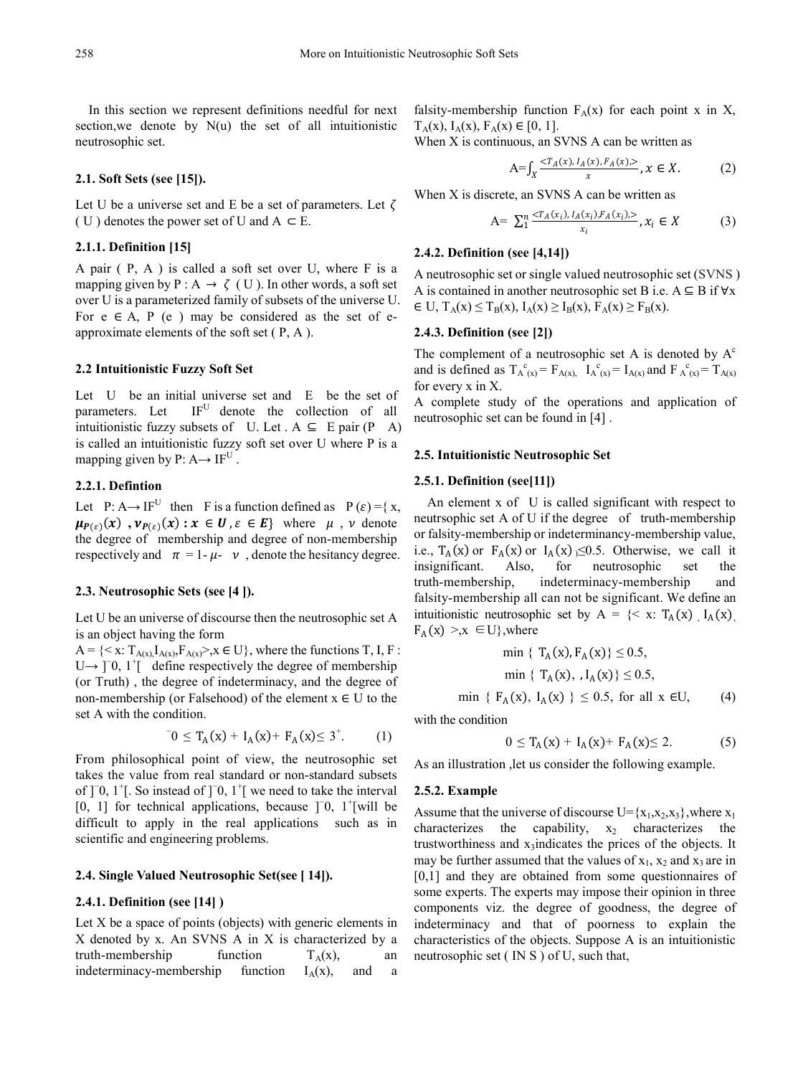In this section we represent definitions needful for next section, we denote by  $N(u)$  the set of all intuitionistic neutrosophic set.

#### **2.1. Soft Sets (see [15]).**

Let U be a universe set and E be a set of parameters. Let  $\zeta$ ( U ) denotes the power set of U and  $A \subset E$ .

#### **2.1.1. Definition [15]**

A pair ( P, A ) is called a soft set over U, where F is a mapping given by P : A  $\rightarrow \zeta$  (U). In other words, a soft set over U is a parameterized family of subsets of the universe U. For  $e \in A$ , P  $(e)$  may be considered as the set of eapproximate elements of the soft set ( P, A ).

#### **2.2 Intuitionistic Fuzzy Soft Set**

Let U be an initial universe set and E be the set of parameters. Let IF<sup>U</sup> denote the collection of all intuitionistic fuzzy subsets of U. Let  $A \subseteq E$  pair  $(P \cap A)$ is called an intuitionistic fuzzy soft set over U where P is a mapping given by  $P: A \rightarrow IF^U$ .

### **2.2.1. Defintion**

Let P: A  $\rightarrow$  IF<sup>U</sup> then F is a function defined as P ( $\varepsilon$ ) = { x,  $\mu_{P(\varepsilon)}(x)$ ,  $\nu_{P(\varepsilon)}(x)$ :  $x \in U$ ,  $\varepsilon \in E$ } where  $\mu$ ,  $\nu$  denote the degree of membership and degree of non-membership respectively and  $\pi = 1 - \mu - \nu$ , denote the hesitancy degree.

#### **2.3. Neutrosophic Sets (see [4 ]).**

Let U be an universe of discourse then the neutrosophic set A is an object having the form

 $A = \{ \langle x : T_{A(x)}, I_{A(x)}, F_{A(x)} \rangle, x \in U \}$ , where the functions T, I, F: U→  $\Box$  1<sup>+</sup>[ define respectively the degree of membership (or Truth) , the degree of indeterminacy, and the degree of non-membership (or Falsehood) of the element  $x \in U$  to the set A with the condition.

$$
{}^{-}0 \leq T_{A}(x) + I_{A}(x) + F_{A}(x) \leq 3^{+}.
$$
 (1)

From philosophical point of view, the neutrosophic set takes the value from real standard or non-standard subsets of  $]$ <sup>-</sup>0, 1<sup>+</sup>[. So instead of  $]$ <sup>-</sup>0, 1<sup>+</sup>[ we need to take the interval [0, 1] for technical applications, because  $]$ <sup>-</sup>0, 1<sup>+</sup>[will be difficult to apply in the real applications such as in scientific and engineering problems.

#### **2.4. Single Valued Neutrosophic Set(see [ 14]).**

#### **2.4.1. Definition (see [14] )**

Let X be a space of points (objects) with generic elements in X denoted by x. An SVNS A in X is characterized by a truth-membership function  $T_A(x)$ , an indeterminacy-membership function  $I_A(x)$ , and a

falsity-membership function  $F_A(x)$  for each point x in X,  $T_A(x)$ ,  $I_A(x)$ ,  $F_A(x) \in [0, 1]$ .

When X is continuous, an SVNS A can be written as

$$
A = \int_X \frac{T_A(x), I_A(x), F_A(x),>}{x}, x \in X.
$$
 (2)

When X is discrete, an SVNS A can be written as

A= 
$$
\sum_{1}^{n} \frac{\langle T_A(x_i), I_A(x_i), F_A(x_i), \rangle}{x_i}, x_i \in X
$$
 (3)

#### **2.4.2. Definition (see [4,14])**

A neutrosophic set or single valued neutrosophic set (SVNS ) A is contained in another neutrosophic set B i.e.  $A \subseteq B$  if  $\forall x$  $\in$  U,  $T_A(x) \leq T_B(x)$ ,  $I_A(x) \geq I_B(x)$ ,  $F_A(x) \geq F_B(x)$ .

#### **2.4.3. Definition (see [2])**

The complement of a neutrosophic set A is denoted by  $A<sup>c</sup>$ and is defined as  $T_A^c{}_{(x)} = F_{A(x)}$ ,  $I_A^c{}_{(x)} = I_{A(x)}$  and  $F_A^c{}_{(x)} = T_{A(x)}$ for every x in X.

A complete study of the operations and application of neutrosophic set can be found in [4] .

#### **2.5. Intuitionistic Neutrosophic Set**

#### **2.5.1. Definition (see[11])**

An element x of U is called significant with respect to neutrsophic set A of U if the degree of truth-membership or falsity-membership or indeterminancy-membership value, i.e.,  $T_A(x)$  or  $F_A(x)$  or  $I_A(x) \le 0.5$ . Otherwise, we call it insignificant. Also, for neutrosophic set the neutrosophic truth-membership, indeterminacy-membership and falsity-membership all can not be significant. We define an intuitionistic neutrosophic set by A =  $\{< x: T_A(x) \mid I_A(x)\}$  $F_A(x) > x \in U$ , where

$$
\min \{ T_A(x), F_A(x) \} \le 0.5,
$$
  
\n
$$
\min \{ T_A(x), J_A(x) \} \le 0.5,
$$
  
\n
$$
\min \{ F_A(x), J_A(x) \} \le 0.5, \text{ for all } x \in U,
$$
 (4)

with the condition

$$
0 \leq T_A(x) + I_A(x) + F_A(x) \leq 2. \tag{5}
$$

As an illustration ,let us consider the following example.

#### **2.5.2. Example**

Assume that the universe of discourse  $U = \{x_1, x_2, x_3\}$ , where  $x_1$ characterizes the capability,  $x_2$  characterizes the trustworthiness and x<sub>3</sub>indicates the prices of the objects. It may be further assumed that the values of  $x_1$ ,  $x_2$  and  $x_3$  are in [0,1] and they are obtained from some questionnaires of some experts. The experts may impose their opinion in three components viz. the degree of goodness, the degree of indeterminacy and that of poorness to explain the characteristics of the objects. Suppose A is an intuitionistic neutrosophic set ( IN S ) of U, such that,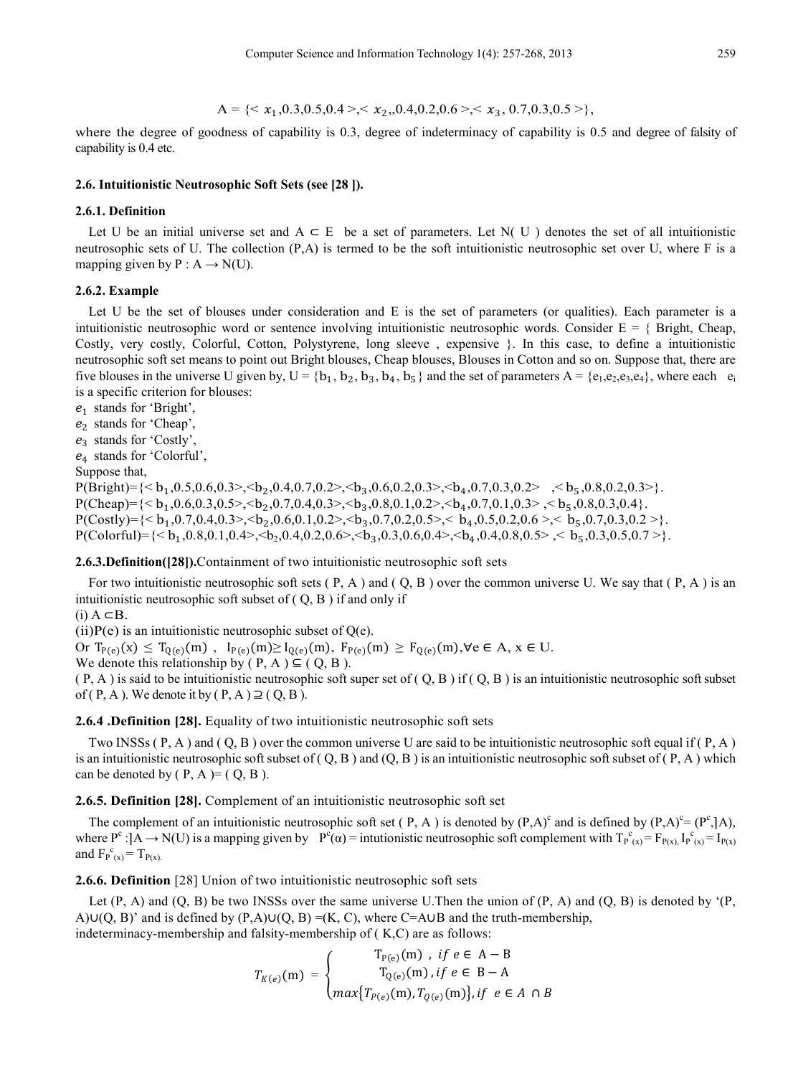$$
A = \{& x_1, 0.3, 0.5, 0.4 >, & x_2, 0.4, 0.2, 0.6 >, & x_3, 0.7, 0.3, 0.5 > \},
$$

where the degree of goodness of capability is 0.3, degree of indeterminacy of capability is 0.5 and degree of falsity of capability is 0.4 etc.

#### **2.6. Intuitionistic Neutrosophic Soft Sets (see [28 ]).**

#### **2.6.1. Definition**

Let U be an initial universe set and A ⊂ E be a set of parameters. Let N( U ) denotes the set of all intuitionistic neutrosophic sets of U. The collection (P,A) is termed to be the soft intuitionistic neutrosophic set over U, where F is a mapping given by  $P : A \rightarrow N(U)$ .

#### **2.6.2. Example**

Let U be the set of blouses under consideration and E is the set of parameters (or qualities). Each parameter is a intuitionistic neutrosophic word or sentence involving intuitionistic neutrosophic words. Consider  $E = \{$  Bright, Cheap, Costly, very costly, Colorful, Cotton, Polystyrene, long sleeve , expensive }. In this case, to define a intuitionistic neutrosophic soft set means to point out Bright blouses, Cheap blouses, Blouses in Cotton and so on. Suppose that, there are five blouses in the universe U given by,  $U = \{b_1, b_2, b_3, b_4, b_5\}$  and the set of parameters  $A = \{e_1, e_2, e_3, e_4\}$ , where each  $e_i$ is a specific criterion for blouses:

 $e_1$  stands for 'Bright',

 $e_2$  stands for 'Cheap',

 $e_3$  stands for 'Costly',

<sup>4</sup> stands for 'Colorful',

Suppose that,

 $P(Bright) = \{**h**<sub>1</sub>,0.5,0.6,0.3>, **h**<sub>2</sub>,0.4,0.7,0.2>, **h**<sub>3</sub>,0.6,0.2,0.3>, **h**<sub>4</sub>,0.7,0.3,0.2>, **h**<sub>5</sub>,0.8,0.2,0.3,}.$  $P(Cheap) = \{**1, 0.6, 0.3, 0.5>, **1, 0.4, 0.3>, **1, 0.2>, **1, 0.7, 0.1, 0.3>, **1, 0.3, 0.4\}.\}**********$  $P(Costly) = \{**h**<sub>1</sub>,0.7,0.4,0.3>, **h**<sub>2</sub>,0.6,0.1,0.2>, **h**<sub>3</sub>,0.7,0.2,0.5>, **h**<sub>4</sub>,0.5,0.2,0.6>, **h**<sub>5</sub>,0.7,0.3,0.2.\}$  $P(Colorful) = \{**1,0.8,0.1,0.4>, **2,0.4,0.2,0.6>, **3,0.3,0.6,0.4>, **4,0.4,0.8,0.5>, **5,0.3,0.5,0.7>\}**********$ .

#### **2.6.3.Definition([28]).**Containment of two intuitionistic neutrosophic soft sets

For two intuitionistic neutrosophic soft sets  $(P, A)$  and  $(Q, B)$  over the common universe U. We say that  $(P, A)$  is an intuitionistic neutrosophic soft subset of  $(Q, B)$  if and only if

 $(i)$  A  $\subset$ B.

(ii) $P(e)$  is an intuitionistic neutrosophic subset of  $Q(e)$ .

Or  $T_{P(e)}(x) \leq T_{Q(e)}(m)$ ,  $I_{P(e)}(m) \geq I_{Q(e)}(m)$ ,  $F_{P(e)}(m) \geq F_{Q(e)}(m)$ ,∀e ∈ A,  $x \in U$ . We denote this relationship by  $(P, A) \subseteq (Q, B)$ .

 $(P, A)$  is said to be intuitionistic neutrosophic soft super set of  $(Q, B)$  if  $(Q, B)$  is an intuitionistic neutrosophic soft subset of ( P, A ). We denote it by ( P, A )  $\supseteq$  ( Q, B ).

#### **2.6.4 .Definition [28].** Equality of two intuitionistic neutrosophic soft sets

Two INSSs  $(P, A)$  and  $(Q, B)$  over the common universe U are said to be intuitionistic neutrosophic soft equal if  $(P, A)$ is an intuitionistic neutrosophic soft subset of  $(Q, B)$  and  $(Q, B)$  is an intuitionistic neutrosophic soft subset of  $(P, A)$  which can be denoted by  $(P, A) = (Q, B)$ .

**2.6.5. Definition [28].** Complement of an intuitionistic neutrosophic soft set

The complement of an intuitionistic neutrosophic soft set (P, A) is denoted by  $(P,A)^c$  and is defined by  $(P,A)^c = (P^c, |A)$ , where  $P^c$ : $[A \rightarrow N(U)$  is a mapping given by  $P^c(\alpha) =$  intutionistic neutrosophic soft complement with  $T_{P(x)}^c = F_{P(x)} I_{P(x)}^c = I_{P(x)}$ and  $F_{P(x)}^c = T_{P(x)}$ .

**2.6.6. Definition** [28] Union of two intuitionistic neutrosophic soft sets

Let  $(P, A)$  and  $(Q, B)$  be two INSSs over the same universe U.Then the union of  $(P, A)$  and  $(Q, B)$  is denoted by ' $(P, A)$ A)∪(Q, B)' and is defined by  $(P,A)U(Q, B) = (K, C)$ , where C=A∪B and the truth-membership, indeterminacy-membership and falsity-membership of ( K,C) are as follows:

$$
T_{K(e)}(m) = \begin{cases} T_{P(e)}(m), & \text{if } e \in A - B \\ T_{Q(e)}(m), & \text{if } e \in B - A \\ max\{T_{P(e)}(m), T_{Q(e)}(m)\}, & \text{if } e \in A \cap B \end{cases}
$$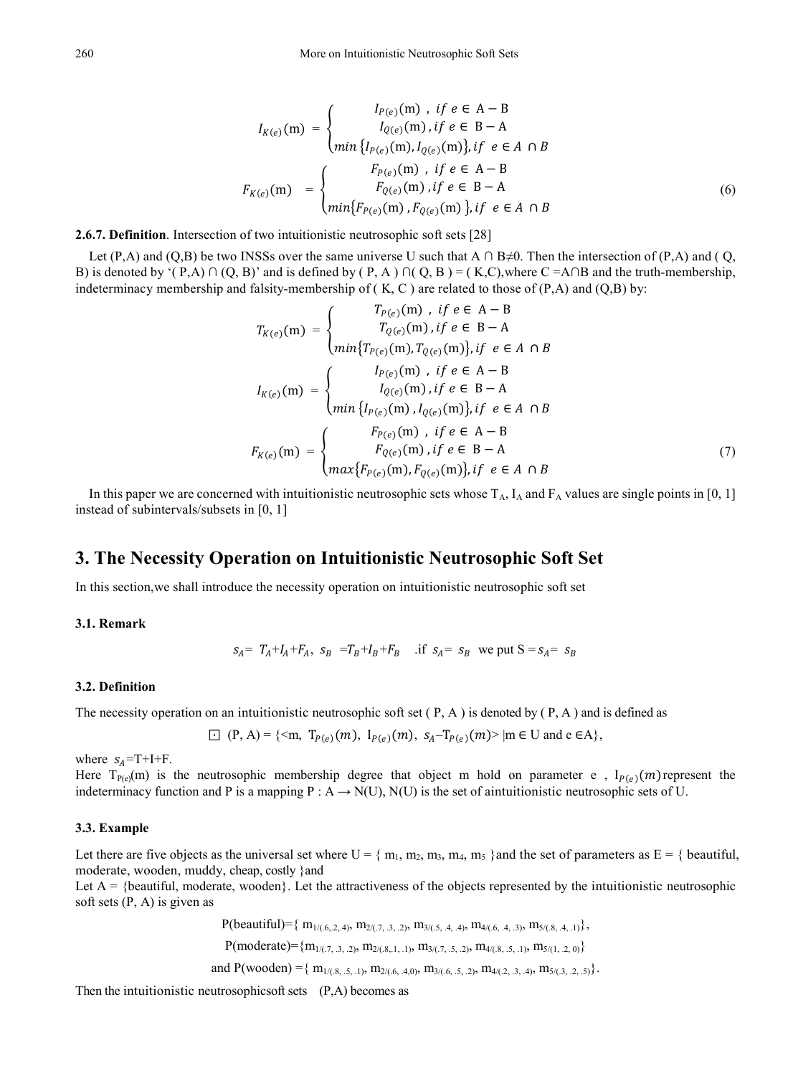$$
I_{K(e)}(m) = \begin{cases} I_{P(e)}(m) & \text{if } e \in A - B \\ I_{Q(e)}(m) & \text{if } e \in B - A \\ \min \{ I_{P(e)}(m) & I_{Q(e)}(m) \}, \text{if } e \in A \cap B \end{cases}
$$
\n
$$
F_{K(e)}(m) = \begin{cases} F_{P(e)}(m) & \text{if } e \in A - B \\ F_{Q(e)}(m) & \text{if } e \in B - A \\ \min \{ F_{P(e)}(m) & \text{if } e \in B - A \end{cases} \tag{6}
$$

**2.6.7. Definition**. Intersection of two intuitionistic neutrosophic soft sets [28]

Let (P,A) and (Q,B) be two INSSs over the same universe U such that A ∩ B≠0. Then the intersection of (P,A) and (Q, B) is denoted by '(P,A) ∩ (Q, B)' and is defined by (P,A) ∩ (Q, B) = (K,C),where C =A∩B and the truth-membership, indeterminacy membership and falsity-membership of  $(K, C)$  are related to those of  $(P,A)$  and  $(Q,B)$  by:

$$
T_{K(e)}(m) = \begin{cases} T_{P(e)}(m) , & \text{if } e \in A - B \\ T_{Q(e)}(m), & \text{if } e \in B - A \end{cases}
$$
  
\n
$$
I_{K(e)}(m) = \begin{cases} I_{P(e)}(m) , & \text{if } e \in A - B \\ I_{Q(e)}(m) , & \text{if } e \in A - B \end{cases}
$$
  
\n
$$
I_{K(e)}(m) = \begin{cases} I_{P(e)}(m) , & \text{if } e \in B - A \\ \min \{ I_{P(e)}(m) , I_{Q(e)}(m) \}, & \text{if } e \in A \cap B \end{cases}
$$
  
\n
$$
F_{K(e)}(m) = \begin{cases} F_{P(e)}(m) , & \text{if } e \in A - B \\ F_{Q(e)}(m) , & \text{if } e \in B - A \\ \max \{ F_{P(e)}(m) , F_{Q(e)}(m) \}, & \text{if } e \in A \cap B \end{cases}
$$
  
\n(7)

In this paper we are concerned with intuitionistic neutrosophic sets whose  $T_A$ ,  $I_A$  and  $F_A$  values are single points in [0, 1] instead of subintervals/subsets in [0, 1]

# **3. The Necessity Operation on Intuitionistic Neutrosophic Soft Set**

In this section,we shall introduce the necessity operation on intuitionistic neutrosophic soft set

**3.1. Remark**

$$
s_A = T_A + I_A + F_A
$$
,  $s_B = T_B + I_B + F_B$  if  $s_A = s_B$  we put  $S = s_A = s_B$ 

#### **3.2. Definition**

The necessity operation on an intuitionistic neutrosophic soft set  $(P, A)$  is denoted by  $(P, A)$  and is defined as

$$
\Box (P, A) = \{ \leq m, T_{P(e)}(m), I_{P(e)}(m), s_A - T_{P(e)}(m) \geq |m \in U \text{ and } e \in A \},
$$

where  $s_A = T + I + F$ .

Here  $T_{P(e)}(m)$  is the neutrosophic membership degree that object m hold on parameter e,  $I_{P(e)}(m)$  represent the indeterminacy function and P is a mapping P :  $A \rightarrow N(U)$ ,  $N(U)$  is the set of aintuitionistic neutrosophic sets of U.

#### **3.3. Example**

Let there are five objects as the universal set where  $U = \{ m_1, m_2, m_3, m_4, m_5 \}$ and the set of parameters as  $E = \{$  beautiful, moderate, wooden, muddy, cheap, costly }and

Let  $A = \{$  beautiful, moderate, wooden $\}$ . Let the attractiveness of the objects represented by the intuitionistic neutrosophic soft sets (P, A) is given as

 $P(\text{beautiful})=\{ m_{1/(6,6,2,4)}, m_{2/(7,3,2)}, m_{3/(5,4,4)}, m_{4/(6,4,3)}, m_{5/(8,4,1)} \},$ 

 $P(\text{moderate}) = \{m_{1/(7, 3, 2)}, m_{2/(8, 1, 1)}, m_{3/(7, 5, 2)}, m_{4/(8, 5, 1)}, m_{5/(1, 2, 0)}\}$ 

and  $P(wooden) = \{ m_{1/(0.8, 0.5, 0.1)}, m_{2/(0.6, 0.4, 0)}, m_{3/(0.6, 0.5, 0.2)}, m_{4/(0.2, 0.3, 0.4)}, m_{5/(0.3, 0.2, 0.5)} \}.$ 

Then the intuitionistic neutrosophics of sets  $(P, A)$  becomes as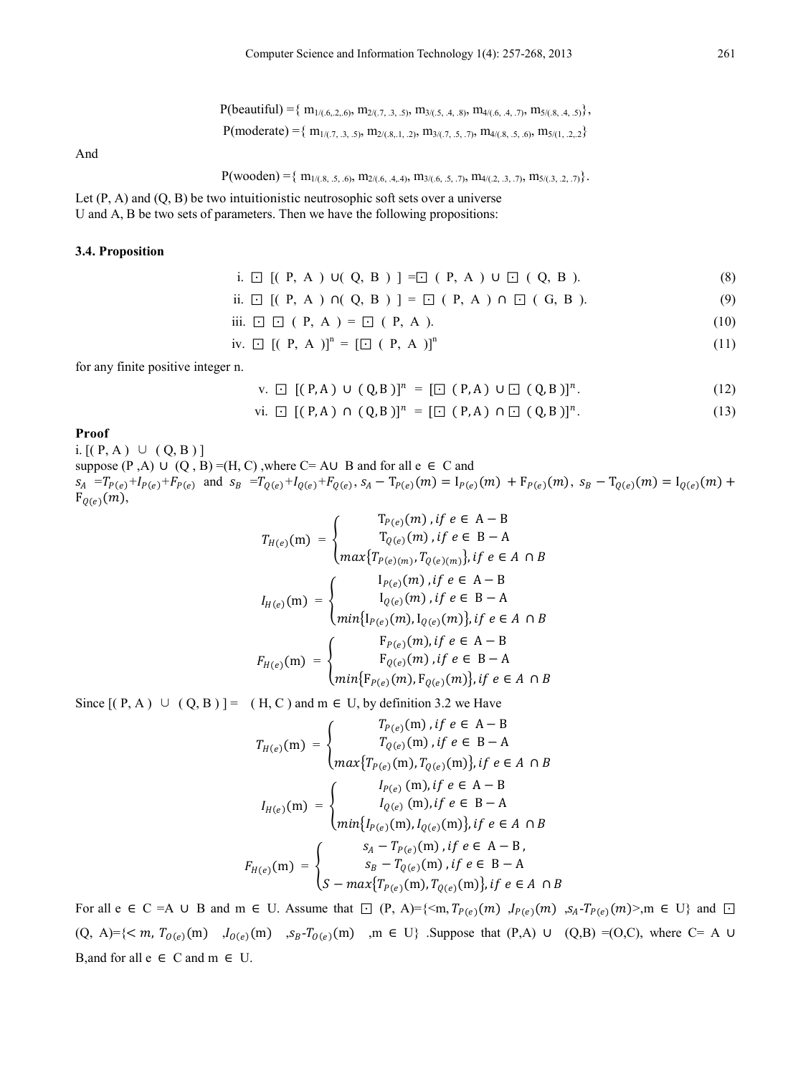$$
P(\text{moderate}) = \{ m_{1/(7, 3, .5)}, m_{2/(8, .1, .2)}, m_{3/(7, .5, .7)}, m_{4/(8, .5, .6)}, m_{5/(1, .2, .2)} \}
$$

And

$$
P(wooden) = \{ m_{1/(8, 5, 5, 6)}, m_{2/(6, 4, 4)}, m_{3/(6, 5, 7)}, m_{4/(2, 3, 7)}, m_{5/(3, 2, 7)} \}
$$

Let  $(P, A)$  and  $(Q, B)$  be two intuitionistic neutrosophic soft sets over a universe U and A, B be two sets of parameters. Then we have the following propositions:

#### **3.4. Proposition**

i. 
$$
\Box
$$
 [(P, A) U(Q, B)] =  $\Box$  (P, A) U  $\Box$  (Q, B). (8)

ii. 
$$
\Box
$$
 [(P, A)  $\cap$  (Q, B) ] =  $\Box$  (P, A)  $\cap$   $\Box$  (G, B). (9)

iii.  $□$   $□$  ( P, A ) =  $□$  ( P, A ). (10)

iv. 
$$
\Box
$$
  $[(P, A)]^n = [\Box (P, A)]^n$  (11)

for any finite positive integer n.

$$
v. \quad \Box \quad [(\ P, A) \cup (\ Q, B)]^n = [\Box \quad (\ P, A) \cup \Box \quad (\ Q, B)]^n. \tag{12}
$$

vi. ⊡ [( P, A ) ∩ ( Q, B )] = [⊡ ( P, A ) ∩ ⊡ ( Q, B )] . (13)

#### **Proof**

i.  $[(P, A) ∪ (Q, B)]$ suppose (P,A) ∪ (Q, B) =(H, C), where C= A∪ B and for all e  $\in$  C and  $s_A = T_{P(e)} + I_{P(e)} + F_{P(e)}$  and  $s_B = T_{Q(e)} + I_{Q(e)} + F_{Q(e)}$ ,  $s_A - T_{P(e)}(m) = I_{P(e)}(m) + F_{P(e)}(m)$ ,  $s_B - T_{Q(e)}(m) = I_{Q(e)}(m) +$  $F_{Q(e)}(m)$ ,

$$
T_{H(e)}(m) = \begin{cases} T_{P(e)}(m), if e \in A - B \\ T_{Q(e)}(m), if e \in B - A \end{cases}
$$
  
\n
$$
I_{H(e)}(m) = \begin{cases} I_{P(e)(m)}, T_{Q(e)(m)}\}, if e \in A \cap B \\ I_{Q(e)}(m), if e \in A - B \\ \min\{I_{P(e)}(m), if e \in B - A \end{cases}
$$
  
\n
$$
F_{H(e)}(m) = \begin{cases} F_{P(e)}(m), I_{Q(e)}(m)\}, if e \in A \cap B \\ F_{Q(e)}(m), if e \in A - B \\ \min\{F_{P(e)}(m), if e \in B - A \end{cases}
$$

Since  $[(P, A) \cup (Q, B)] = (H, C)$  and  $m \in U$ , by definition 3.2 we Have

$$
T_{H(e)}(m) = \begin{cases} T_{P(e)}(m), if e \in A - B \\ T_{Q(e)}(m), if e \in B - A \end{cases}
$$

$$
I_{H(e)}(m) = \begin{cases} I_{P(e)}(m), f_{Q(e)}(m), f \in A \cap B \\ I_{Q(e)}(m), if e \in A - B \end{cases}
$$

$$
I_{H(e)}(m) = \begin{cases} I_{P(e)}(m), if e \in B - A \\ min\{I_{P(e)}(m), I_{Q(e)}(m)\}, if e \in A \cap B \end{cases}
$$

$$
F_{H(e)}(m) = \begin{cases} s_A - T_{P(e)}(m), if e \in A - B, \\ s_B - T_{Q(e)}(m), if e \in B - A \\ S - max\{T_{P(e)}(m), T_{Q(e)}(m)\}, if e \in A \cap B \end{cases}
$$

For all e ∈ C =A ∪ B and m ∈ U. Assume that  $\Box$  (P, A)={<m,  $T_{P(e)}(m)$ ,  $I_{P(e)}(m)$ ,  $S_A - T_{P(e)}(m)$ >,m ∈ U} and  $\Box$ (Q, A)={ $\langle m, T_{0}(e)$ (m) , $I_{0}(e)$ (m) , $S_B - T_{0}(e)$ (m) ,m  $\in U$ } .Suppose that (P,A)  $\cup$  (Q,B) =(O,C), where C= A  $\cup$ B,and for all  $e \in C$  and  $m \in U$ .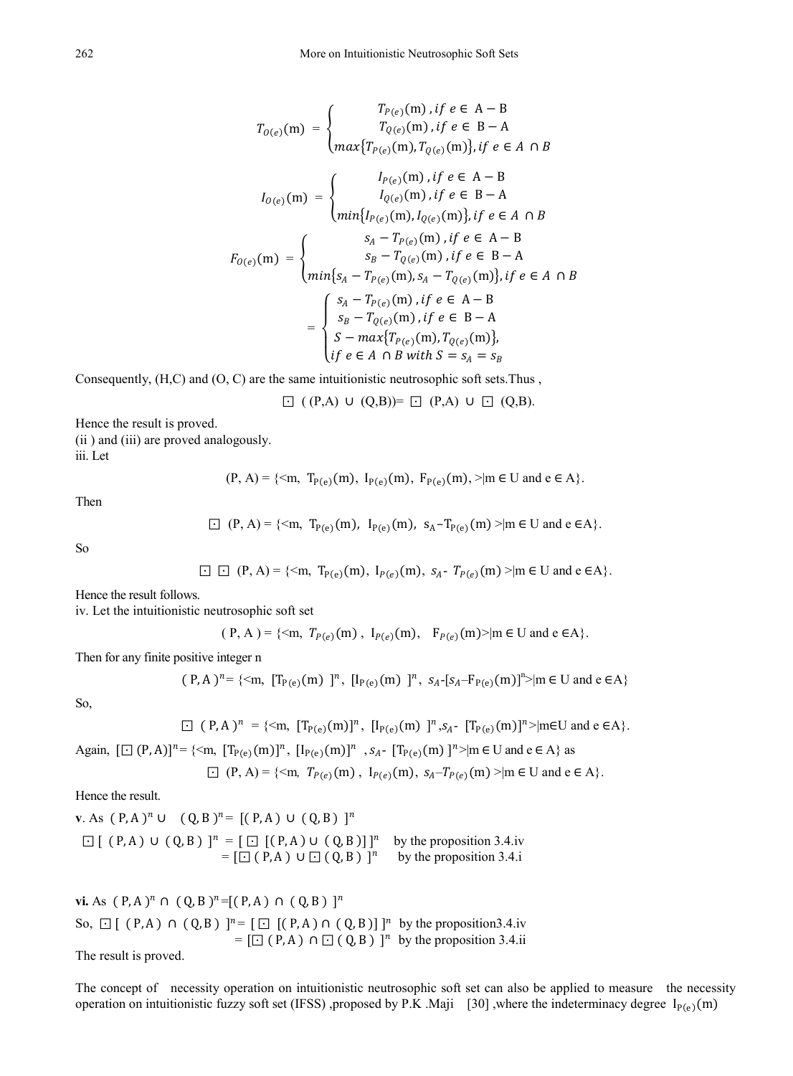$$
T_{O(e)}(m) = \begin{cases} T_{P(e)}(m), if e \in A - B \\ T_{Q(e)}(m), if e \in B - A \end{cases}
$$

$$
I_{O(e)}(m) = \begin{cases} I_{P(e)}(m), T_{Q(e)}(m), if e \in A \cap B \\ I_{Q(e)}(m), if e \in A - B \end{cases}
$$

$$
I_{O(e)}(m) = \begin{cases} I_{P(e)}(m), if e \in B - A \\ min\{I_{P(e)}(m), I_{Q(e)}(m)\}, if e \in A \cap B \end{cases}
$$

$$
F_{O(e)}(m) = \begin{cases} s_A - T_{P(e)}(m), if e \in B - A \\ m i n \{s_A - T_{P(e)}(m), s_I - T_{Q(e)}(m)\}, if e \in A \cap B \end{cases}
$$

$$
= \begin{cases} s_A - T_{P(e)}(m), if e \in A - B \\ s_B - T_{Q(e)}(m), if e \in B - A \\ s - max\{T_{P(e)}(m), T_{Q(e)}(m)\}, \\ i f e \in A \cap B \text{ with } S = s_A = s_B \end{cases}
$$

Consequently, (H,C) and (O, C) are the same intuitionistic neutrosophic soft sets.Thus ,

$$
\Box ((P,A) \cup (Q,B)) = \Box (P,A) \cup \Box (Q,B).
$$

Hence the result is proved. (ii ) and (iii) are proved analogously. iii. Let

$$
(P, A) = \{ \leq m, T_{P(e)}(m), I_{P(e)}(m), F_{P(e)}(m), \geq | m \in U \text{ and } e \in A \}.
$$

Then

$$
\Box (P, A) = \{ \leq m, T_{P(e)}(m), I_{P(e)}(m), s_A - T_{P(e)}(m) \geq | m \in U \text{ and } e \in A \}.
$$

So

$$
\Box \ \Box \ (P, A) = \{ \leq m, \ T_{P(e)}(m), \ I_{P(e)}(m), \ s_A - T_{P(e)}(m) \geq | m \in U \text{ and } e \in A \}.
$$

Hence the result follows.

iv. Let the intuitionistic neutrosophic soft set

$$
(P, A) = \{ \langle m, T_{P(e)}(m), I_{P(e)}(m), F_{P(e)}(m) \rangle | m \in U \text{ and } e \in A \}.
$$

Then for any finite positive integer n

$$
(P, A)^n = \{ \leq m, [T_{P(e)}(m)]^n, [I_{P(e)}(m)]^n, s_A - [s_A - F_{P(e)}(m)]^n \geq |m \in U \text{ and } e \in A \}
$$

So,

$$
\Box (P, A)^n = \{ \leq m, [T_{P(e)}(m)]^n, [I_{P(e)}(m)]^n, s_A - [T_{P(e)}(m)]^n \geq |m \in U \text{ and } e \in A \}.
$$

Again,  $[\Box (P, A)]^n = {\langle m, [T_{P(e)}(m)]^n, [I_{P(e)}(m)]^n, s_A - [T_{P(e)}(m)]^n > m \in U \text{ and } e \in A}$  as

$$
\Box (P, A) = \{ \leq m, T_{P(e)}(m), I_{P(e)}(m), s_A - T_{P(e)}(m) \geq | m \in U \text{ and } e \in A \}.
$$

Hence the result.

**v**. As  $(P, A)^n$  ∪  $(Q, B)^n = [(P, A) \cup (Q, B)]^n$  $\Box$  [ ( P, A )  $\cup$  ( Q, B ) ]<sup>n</sup> = [ $\Box$  [( P, A )  $\cup$  ( Q, B )]]<sup>n</sup> by the proposition 3.4.iv  $= [\square (\text{P}, \text{A}) \cup \square (\text{Q}, \text{B})]^n$  by the proposition 3.4.i

**vi.** As  $(P, A)^n$  ∩  $(Q, B)^n$ =[ $(P, A)$  ∩  $(Q, B)$  ]<sup>n</sup> So,  $\Box$  [ ( P, A )  $\cap$  ( Q, B ) ]<sup>n</sup> = [  $\Box$  [ ( P, A )  $\cap$  ( Q, B )] ]<sup>n</sup> by the proposition3.4.iv  $=$   $\left[\square\right] (P, A)$   $\cap \square\right] (Q, B)$  ]<sup>n</sup> by the proposition 3.4.ii The result is proved.

The concept of necessity operation on intuitionistic neutrosophic soft set can also be applied to measure the necessity operation on intuitionistic fuzzy soft set (IFSS) ,proposed by P.K .Maji [30] ,where the indeterminacy degree  $I_{P(e)}(m)$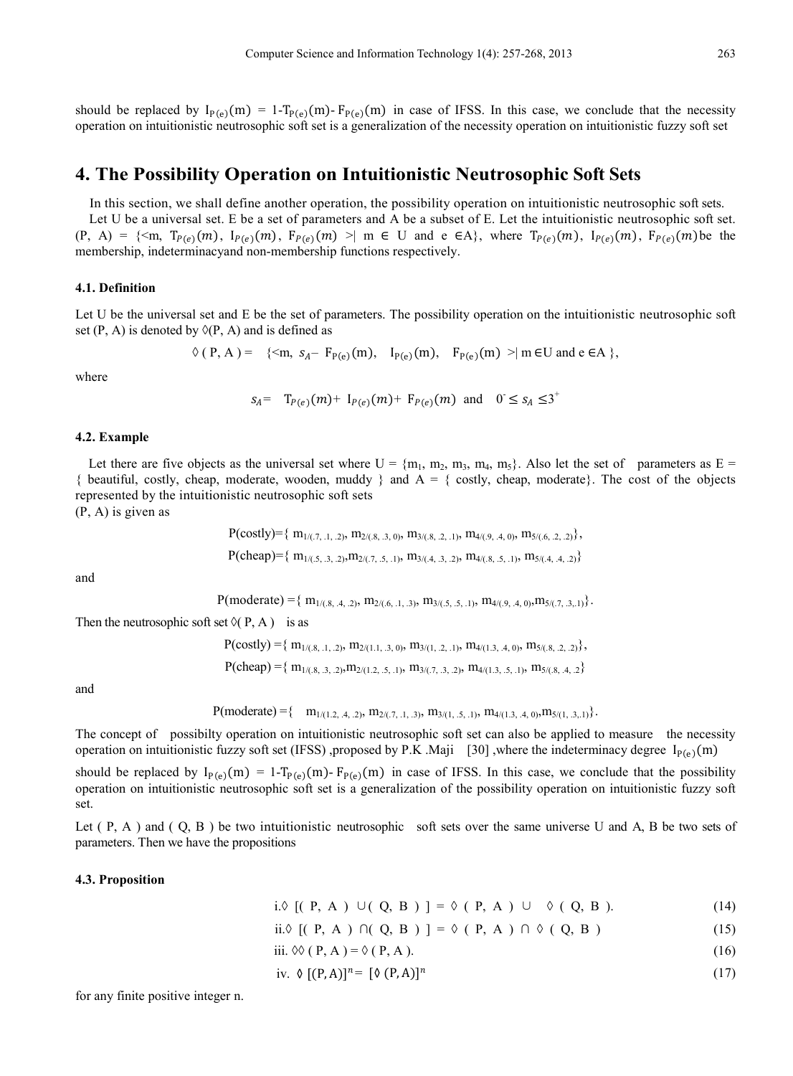should be replaced by  $I_{P(e)}(m) = 1-T_{P(e)}(m) - F_{P(e)}(m)$  in case of IFSS. In this case, we conclude that the necessity operation on intuitionistic neutrosophic soft set is a generalization of the necessity operation on intuitionistic fuzzy soft set

# **4. The Possibility Operation on Intuitionistic Neutrosophic Soft Sets**

In this section, we shall define another operation, the possibility operation on intuitionistic neutrosophic soft sets. Let U be a universal set. E be a set of parameters and A be a subset of E. Let the intuitionistic neutrosophic soft set.  $(P, A) = \{ \leq m, T_{P(e)}(m), I_{P(e)}(m), F_{P(e)}(m) \geq | m \in U \text{ and } e \in A \}$ , where  $T_{P(e)}(m), I_{P(e)}(m), F_{P(e)}(m)$  be the membership, indeterminacyand non-membership functions respectively.

#### **4.1. Definition**

Let U be the universal set and E be the set of parameters. The possibility operation on the intuitionistic neutrosophic soft set (P, A) is denoted by  $\Diamond$ (P, A) and is defined as

$$
\Diamond (P, A) = \{ \langle m, s_{A} - F_{P(e)}(m), I_{P(e)}(m), F_{P(e)}(m) \rangle \mid m \in U \text{ and } e \in A \} ,
$$

where

$$
s_A = T_{P(e)}(m) + I_{P(e)}(m) + F_{P(e)}(m)
$$
 and  $0 \le s_A \le 3^+$ 

#### **4.2. Example**

Let there are five objects as the universal set where  $U = \{m_1, m_2, m_3, m_4, m_5\}$ . Also let the set of parameters as  $E =$  $\{$  beautiful, costly, cheap, moderate, wooden, muddy  $\}$  and  $A = \{$  costly, cheap, moderate}. The cost of the objects represented by the intuitionistic neutrosophic soft sets

(P, A) is given as

$$
P(costly)=\{ m_{1/(\text{.7, .1, .2})}, m_{2/(\text{.8, .3, 0})}, m_{3/(\text{.8, .2, .1})}, m_{4/(\text{.9, .4, 0})}, m_{5/(\text{.6, .2, .2})}\},
$$
  
 
$$
P(cheap)=\{ m_{1/(\text{.5, .3, .2})}, m_{2/(\text{.7, .5, .1})}, m_{3/(\text{.4, .3, .2})}, m_{4/(\text{.8, .5, .1})}, m_{5/(\text{.4, .4, .2})}\}
$$

and

$$
P(\text{moderate}) = \{ m_{1/(8, 4, 2)}, m_{2/(6, 1, 3)}, m_{3/(5, 5, 1)}, m_{4/(9, 4, 0)}, m_{5/(7, 3, 1)} \}.
$$

Then the neutrosophic soft set  $\Diamond$ ( P, A) is as

 $P(costly) = { m_{1/(0.8, 1, 0.2)}, m_{2/(1,1, 0.3, 0)}, m_{3/(1, 0.2, 0.1)}, m_{4/(1,3, 0.4, 0)}, m_{5/(0.8, 0.2, 0.2)}}$  $P(\text{cheap}) = \{ m_{1/(8, 3, 2)}, m_{2/(1, 2, 5, 1)}, m_{3/(7, 3, 2)}, m_{4/(1, 3, 5, 1)}, m_{5/(8, 4, 2)} \}$ 

and

 $P(\text{moderate}) = \{ \quad m_{1/(1.2, .4, .2)}, m_{2/(.7, .1, .3)}, m_{3/(1, .5, .1)}, m_{4/(1.3, .4, .0)}, m_{5/(1, .3, .1)}\}.$ 

The concept of possibilty operation on intuitionistic neutrosophic soft set can also be applied to measure the necessity operation on intuitionistic fuzzy soft set (IFSS) ,proposed by P.K .Maji [30] ,where the indeterminacy degree  $I_{P(e)}(m)$ 

should be replaced by  $I_{P(e)}(m) = 1-T_{P(e)}(m) - F_{P(e)}(m)$  in case of IFSS. In this case, we conclude that the possibility operation on intuitionistic neutrosophic soft set is a generalization of the possibility operation on intuitionistic fuzzy soft set.

Let  $(P, A)$  and  $(Q, B)$  be two intuitionistic neutrosophic soft sets over the same universe U and A, B be two sets of parameters. Then we have the propositions

#### **4.3. Proposition**

|  |  | i. $\lozenge$ [( P, A ) $\cup$ ( Q, B ) ] = $\lozenge$ ( P, A ) $\cup$ $\lozenge$ ( Q, B ). |  | (14) |
|--|--|---------------------------------------------------------------------------------------------|--|------|
|  |  |                                                                                             |  |      |

ii. 
$$
\Diamond
$$
 [(P, A)  $\cap$ (Q, B) ] =  $\Diamond$  (P, A)  $\cap$   $\Diamond$  (Q, B) (15)

iii. 
$$
\mathcal{O}(\mathbf{P}, \mathbf{A}) = \mathcal{O}(\mathbf{P}, \mathbf{A}).
$$
 (16)

iv. 
$$
\phi [(P, A)]^n = [\phi (P, A)]^n
$$
 (17)

for any finite positive integer n.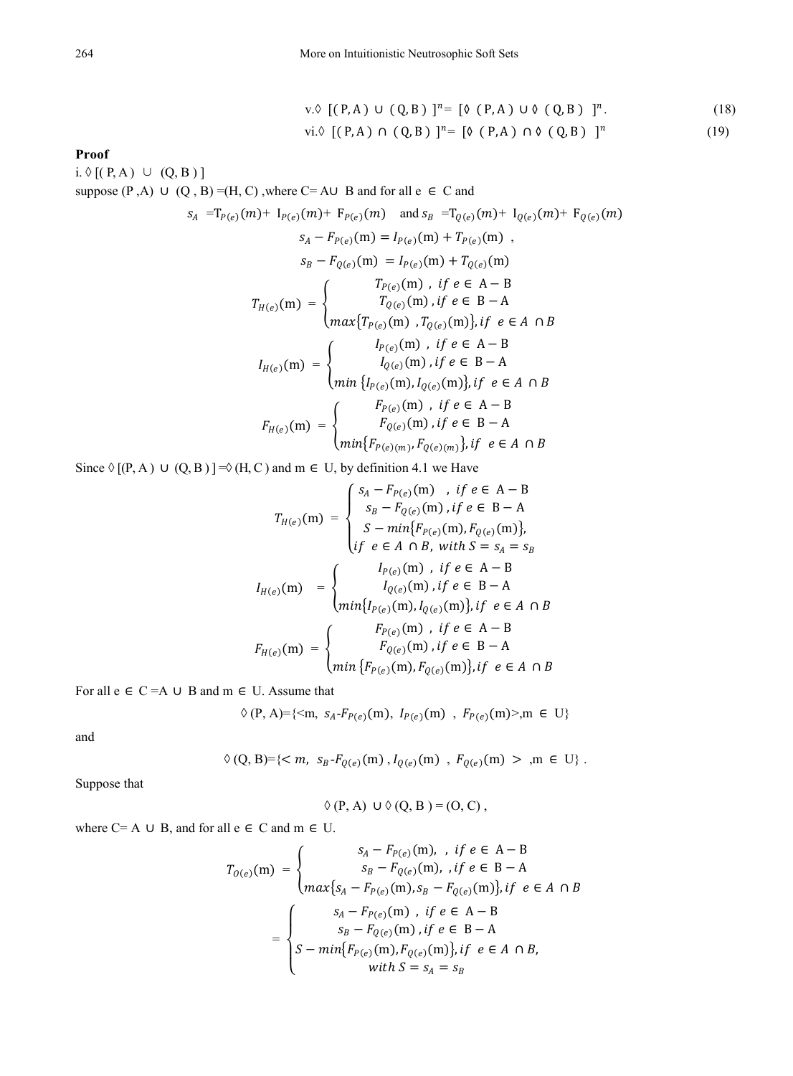$$
v.\lozenge \left[ (P,A) \cup (Q,B) \right]^{n} = \left[ \lozenge (P,A) \cup \lozenge (Q,B) \right]^{n}.
$$
\n
$$
vi.\lozenge \left[ (P,A) \cap (Q,B) \right]^{n} = \left[ \lozenge (P,A) \cap \lozenge (Q,B) \right]^{n}.
$$
\n
$$
(19)
$$

#### **Proof**

 $i. \Diamond [(P, A) \cup (Q, B)]$ suppose (P,A) ∪ (Q, B) =(H, C), where C= A∪ B and for all e  $\in$  C and  $S_A = T_{P(e)}(m) + I_{P(e)}(m) + F_{P(e)}(m)$  and  $S_B = T_{O(e)}(m) + I_{O(e)}(m) + F_{O(e)}(m)$  $S_A - F_{P(e)}(m) = I_{P(e)}(m) + T_{P(e)}(m)$ ,  $S_B - F_{Q(e)}(m) = I_{P(e)}(m) + T_{Q(e)}(m)$  $T_{H(e)}(m) = \{$  $T_{P(e)}(m)$ , *if*  $e \in A - B$  $T_{Q(e)}(m)$  , if  $e \in B - A$  $max\{T_{P(e)}(m), T_{Q(e)}(m)\},$   $t f e \in A \cap B$  $I_{H(e)}(m) = \{$  $I_{P(e)}(m)$  , if  $e \in A - B$  $I_{Q(e)}(m)$ , if  $e \in B - A$  $min\{I_{P(e)}(m), I_{Q(e)}(m)\},$  if  $e \in A \cap B$  $F_{H(e)}(m) = \{$  $F_{P(e)}(m)$ , if  $e \in A - B$  $F_{Q(e)}(m)$  , if  $e \in B - A$  $\min\{F_{P(e)(m)}, F_{Q(e)(m)}\},$   $if \ e \in A \cap B$ 

Since  $\Diamond$  [(P, A)  $\cup$  (Q, B)] =  $\Diamond$  (H, C) and m  $\in$  U, by definition 4.1 we Have

$$
T_{H(e)}(m) = \begin{cases} s_A - F_{P(e)}(m) , & \text{if } e \in A - B \\ s_B - F_{Q(e)}(m), & \text{if } e \in B - A \\ S - min\{F_{P(e)}(m), F_{Q(e)}(m)\}, \\ \text{if } e \in A \cap B, \text{ with } S = s_A = s_B \end{cases}
$$

$$
I_{H(e)}(m) = \begin{cases} I_{P(e)}(m) , & \text{if } e \in A - B \\ I_{Q(e)}(m) , & \text{if } e \in B - A \\ min\{I_{P(e)}(m), I_{Q(e)}(m)\}, & \text{if } e \in A \cap B \end{cases}
$$

$$
F_{H(e)}(m) = \begin{cases} F_{P(e)}(m) , & \text{if } e \in A - B \\ F_{Q(e)}(m) , & \text{if } e \in B - A \\ min\{F_{P(e)}(m), F_{Q(e)}(m)\}, & \text{if } e \in B - A \end{cases}
$$

For all  $e \in C = A \cup B$  and  $m \in U$ . Assume that

$$
\Diamond (P, A) = \{ \langle m, s_A - F_{P(e)}(m), I_{P(e)}(m), F_{P(e)}(m) \rangle, m \in U \}
$$

and

$$
\Diamond (Q, B) = \{ \langle m, s_B - F_{Q(e)}(m), I_{Q(e)}(m), F_{Q(e)}(m) > m \in U \}.
$$

Suppose that

$$
\Diamond (P, A) \cup \Diamond (Q, B) = (O, C),
$$

where  $C = A \cup B$ , and for all  $e \in C$  and  $m \in U$ .

$$
T_{O(e)}(m) = \begin{cases} s_A - F_{P(e)}(m), & \text{if } e \in A - B \\ s_B - F_{Q(e)}(m), & \text{if } e \in B - A \end{cases}
$$
\n
$$
= \begin{cases} s_A - F_{P(e)}(m), & \text{if } e \in A - B \\ s_A - F_{P(e)}(m), & \text{if } e \in A - B \\ s_B - F_{Q(e)}(m), & \text{if } e \in B - A \end{cases}
$$
\n
$$
= \begin{cases} s_A - F_{P(e)}(m), & \text{if } e \in A - B \\ S - \min\{F_{P(e)}(m), F_{Q(e)}(m)\}, & \text{if } e \in A \cap B, \\ \text{with } S = s_A = s_B \end{cases}
$$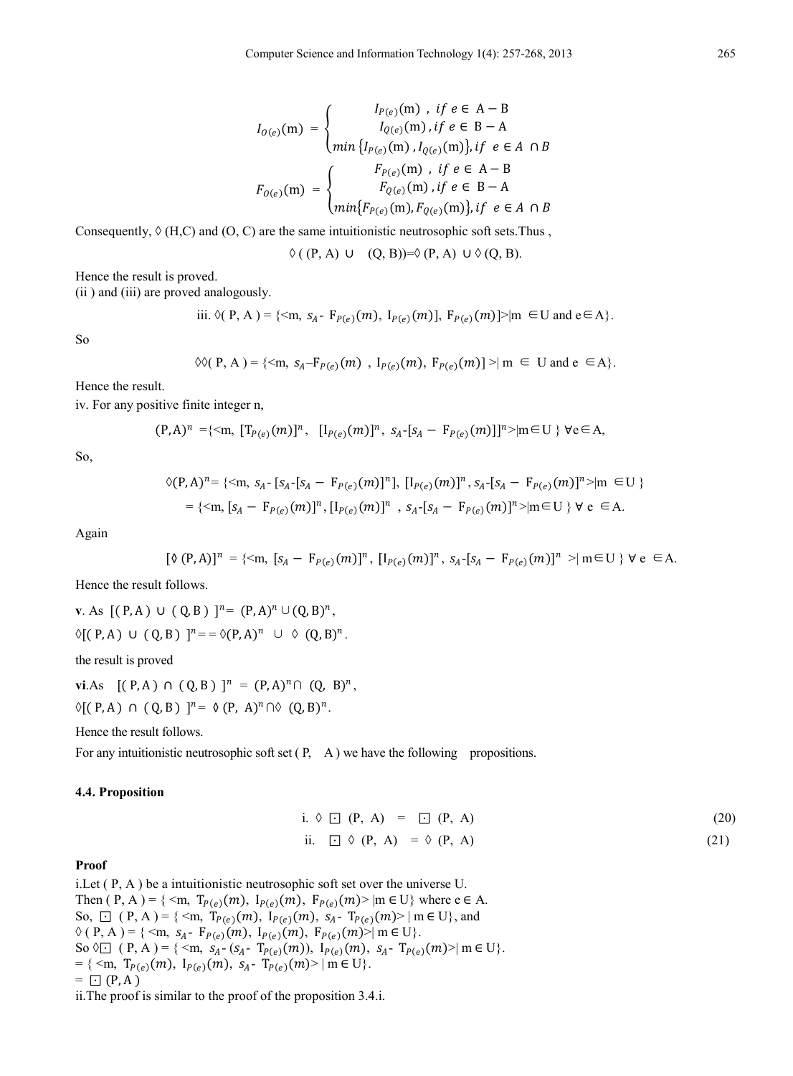$$
I_{0(e)}(m) = \begin{cases} I_{P(e)}(m), & \text{if } e \in A - B \\ I_{0(e)}(m), & \text{if } e \in B - A \end{cases}
$$

$$
F_{0(e)}(m) = \begin{cases} F_{P(e)}(m), & \text{if } e \in A - B \\ F_{0(e)}(m), & \text{if } e \in A - B \end{cases}
$$

$$
F_{0(e)}(m), & \text{if } e \in B - A \\ min\{F_{P(e)}(m), & \text{if } e \in B - A \end{cases}
$$

Consequently,  $\Diamond$  (H,C) and (O, C) are the same intuitionistic neutrosophic soft sets. Thus,

 $\Diamond ((P, A) \cup (Q, B)) = \Diamond (P, A) \cup \Diamond (Q, B).$ 

Hence the result is proved.

(ii ) and (iii) are proved analogously.

iii. 
$$
\mathcal{O}(P, A) = \{ \leq m, s_A - F_{P(e)}(m), I_{P(e)}(m) \}
$$
,  $F_{P(e)}(m) \geq |m| \in U$  and  $e \in A \}$ .

So

$$
\Diamond \Diamond (P, A) = \{ \langle m, s_A - F_{P(e)}(m), I_{P(e)}(m), F_{P(e)}(m) \rangle \} \land m \in U \text{ and } e \in A \}.
$$

Hence the result.

iv. For any positive finite integer n,

$$
(\mathsf{P},\mathsf{A})^n = \{ \leq \mathsf{m}, \ [\mathsf{T}_{\mathsf{P}(e)}(m)]^n, \ [\mathsf{I}_{\mathsf{P}(e)}(m)]^n, \ s_{\mathsf{A}} \cdot [s_{\mathsf{A}} - \mathsf{F}_{\mathsf{P}(e)}(m)] \}^n \geq |\mathsf{m} \in \mathsf{U} \ \} \ \forall e \in \mathsf{A},
$$

So,

$$
\Diamond (P, A)^n = \{ \langle m, s_A - [s_A - F_{P(e)}(m)]^n \}, [I_{P(e)}(m)]^n, s_A - [s_A - F_{P(e)}(m)]^n \rangle | m \in U \}
$$
  
= \{ \langle m, [s\_A - F\_{P(e)}(m)]^n, [I\_{P(e)}(m)]^n, s\_A - [s\_A - F\_{P(e)}(m)]^n \rangle | m \in U \} \forall e \in A.

Again

$$
[\mathfrak{d}(P,A)]^n = \{ \leq m, [s_A - F_{P(e)}(m)]^n, [I_{P(e)}(m)]^n, s_A - [s_A - F_{P(e)}(m)]^n \geq | m \in U \} \forall e \in A.
$$

Hence the result follows.

**v**. As  $[(P, A) ∪ (Q, B)]^{n} = (P, A)^{n} ∪ (Q, B)^{n}$ ,  $\Diamond [ (P, A) \cup (Q, B) ]^{n} = \Diamond (P, A)^{n} \cup \Diamond (Q, B)^{n}.$ 

the result is proved

**vi**.As  $[(P, A) ∩ (Q, B)]^n = (P, A)^n ∩ (Q, B)^n$ ,  $\Diamond [ (P, A) \cap (Q, B) ]^{n} = \Diamond (P, A)^{n} \cap \Diamond (Q, B)^{n}$ .

Hence the result follows.

For any intuitionistic neutrosophic soft set  $(P, A)$  we have the following propositions.

#### **4.4. Proposition**

i.  $\lozenge$   $\Box$  (P, A) =  $\Box$  (P, A) (20) ii.  $\Box \Diamond (P, A) = \Diamond (P, A)$  (21)

#### **Proof**

i.Let ( P, A ) be a intuitionistic neutrosophic soft set over the universe U. Then ( P, A ) = { <m,  $T_{P(e)}(m)$ ,  $I_{P(e)}(m)$ ,  $F_{P(e)}(m)$  |m  $\in U$ } where e  $\in$  A. So,  $\Box$  ( P, A ) = { <m,  $T_{P(e)}(m)$ ,  $I_{P(e)}(m)$ ,  $S_A$ -  $T_{P(e)}(m)$  | m  $\in U$ }, and  $\Diamond (P, A) = \{ \langle m, s_A - F_{P(e)}(m), I_{P(e)}(m), F_{P(e)}(m) \rangle | m \in U \}.$ So  $\Diamond \Box$  (P, A) = { <m,  $s_A$ - ( $s_A$ - T<sub>P(e)</sub>(m)), I<sub>P(e)</sub>(m),  $s_A$ - T<sub>P(e)</sub>(m)>| m ∈ U}. = {  $\langle m, T_{P(e)}(m), I_{P(e)}(m), s_A - T_{P(e)}(m) \rangle | m \in U$  }.  $= \Box (P, A)$ 

ii.The proof is similar to the proof of the proposition 3.4.i.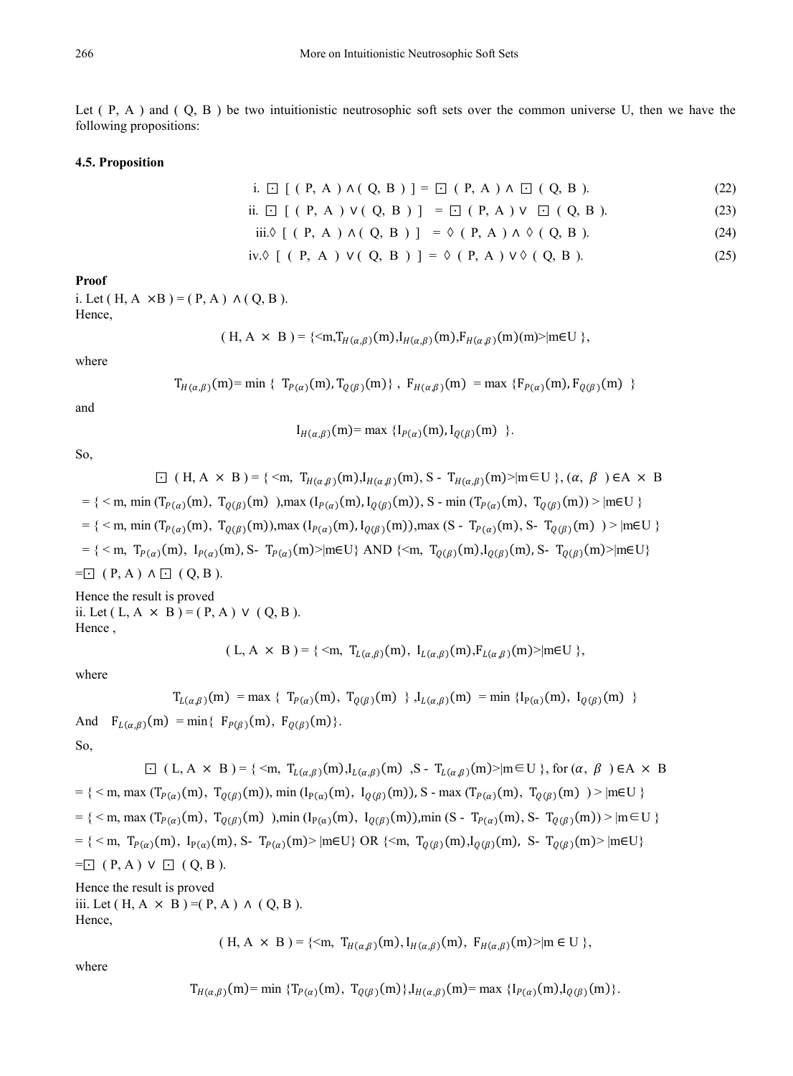Let ( P, A ) and ( Q, B ) be two intuitionistic neutrosophic soft sets over the common universe U, then we have the following propositions:

#### **4.5. Proposition**

i. 
$$
\Box
$$
 [ (**P**, **A**)  $\land$  (**Q**, **B**) ] =  $\Box$  (**P**, **A**)  $\land$   $\Box$  (**Q**, **B**). (22)

ii. 
$$
\Box
$$
 [ (**P**, **A**)  $\lor$  (**Q**, **B**) ] =  $\Box$  (**P**, **A**)  $\lor$   $\Box$  (**Q**, **B**). (23)

iii. 
$$
\Diamond
$$
 [ (**P**, **A**)  $\land$  (**Q**, **B** ) ] =  $\Diamond$  (**P**, **A**)  $\land$   $\Diamond$  (**Q**, **B**). (24)

iv. 
$$
\Diamond
$$
 [ (**P**, **A**)  $\lor$  (**Q**, **B**) ] =  $\Diamond$  (**P**, **A**)  $\lor$   $\Diamond$  (**Q**, **B**). (25)

**Proof**

i. Let  $(H, A \times B) = (P, A) \wedge (Q, B)$ . Hence,

$$
(H, A \times B) = \{ \langle m, T_{H(\alpha,\beta)}(m), I_{H(\alpha,\beta)}(m), F_{H(\alpha,\beta)}(m) \rangle | m \in U \},
$$

where

$$
T_{H(\alpha,\beta)}(m) = \min \{ T_{P(\alpha)}(m), T_{Q(\beta)}(m) \}, F_{H(\alpha,\beta)}(m) = \max \{ F_{P(\alpha)}(m), F_{Q(\beta)}(m) \}
$$

and

$$
I_{H(\alpha,\beta)}(m) = \max \{ I_{P(\alpha)}(m), I_{Q(\beta)}(m) \}.
$$

So,

$$
\Box (H, A \times B) = \{ \langle m, T_{H(\alpha,\beta)}(m), I_{H(\alpha,\beta)}(m), S - T_{H(\alpha,\beta)}(m) \rangle | m \in U \}, (\alpha, \beta) \in A \times B
$$
  
\n
$$
= \{ \langle m, \min (T_{P(\alpha)}(m), T_{Q(\beta)}(m)), \max (I_{P(\alpha)}(m), I_{Q(\beta)}(m)), S - \min (T_{P(\alpha)}(m), T_{Q(\beta)}(m)) \rangle | m \in U \}
$$
  
\n
$$
= \{ \langle m, \min (T_{P(\alpha)}(m), T_{Q(\beta)}(m)), \max (I_{P(\alpha)}(m), I_{Q(\beta)}(m)), \max (S - T_{P(\alpha)}(m), S - T_{Q(\beta)}(m)) \rangle | m \in U \}
$$
  
\n
$$
= \{ \langle m, T_{P(\alpha)}(m), I_{P(\alpha)}(m), S - T_{P(\alpha)}(m) \rangle | m \in U \} \text{ AND } \{ \langle m, T_{Q(\beta)}(m), I_{Q(\beta)}(m), S - T_{Q(\beta)}(m) \rangle | m \in U \}
$$
  
\n
$$
= \Box (P, A) \land \Box (Q, B).
$$

Hence the result is proved ii. Let  $(L, A \times B) = (P, A) \vee (Q, B)$ . Hence ,

$$
(L, A \times B) = \{ \langle m, T_{L(\alpha,\beta)}(m), I_{L(\alpha,\beta)}(m), F_{L(\alpha,\beta)}(m) \rangle | m \in U \},
$$

where

$$
T_{L(\alpha,\beta)}(m) = \max \ \{ \ T_{P(\alpha)}(m), \ T_{Q(\beta)}(m) \ \}, \ I_{L(\alpha,\beta)}(m) = \min \ \{ I_{P(\alpha)}(m), \ I_{Q(\beta)}(m) \ \}
$$

And  $F_{L(\alpha,\beta)}(m) = \min\{ F_{P(\beta)}(m), F_{Q(\beta)}(m) \}.$ 

So,

 $□$  ( L, A × B ) = { <m,  $T_{L(\alpha,\beta)}(m)$ , I<sub>L( $\alpha,\beta$ </sub>)(m) ,S -  $T_{L(\alpha,\beta)}(m)$  >|m∈U }, for  $(\alpha, \beta)$  ∈A × B  $= {$  < m, max  $(T_{P(\alpha)}(m), T_{Q(\beta)}(m))$ , min  $(I_{P(\alpha)}(m), I_{Q(\beta)}(m))$ , S - max  $(T_{P(\alpha)}(m), T_{Q(\beta)}(m))$  ) > |m∈U }  $= {$  { < m, max  $(T_{P(\alpha)}(m), T_{Q(\beta)}(m))$ , min  $(I_{P(\alpha)}(m), I_{Q(\beta)}(m))$ , min (S - T<sub> $P(\alpha)$ </sub>(m), S- T<sub>Q( $\beta$ </sub>)(m)) > |m∈U }  $= { \langle \langle m, T_{P(\alpha)}(m), I_{P(\alpha)}(m), S - T_{P(\alpha)}(m) \rangle | m \in U } \text{OR } {\langle \langle m, T_{Q(\beta)}(m), I_{Q(\beta)}(m), S - T_{Q(\beta)}(m) \rangle | m \in U } \text{ and }$  $=\Box$  ( P, A )  $\lor$   $\Box$  ( Q, B ).

Hence the result is proved iii. Let  $(H, A \times B) = (P, A) \wedge (Q, B)$ . Hence,

$$
(H, A \times B) = \{ \langle m, T_{H(\alpha, \beta)}(m), I_{H(\alpha, \beta)}(m), F_{H(\alpha, \beta)}(m) \rangle | m \in U \},
$$

where

$$
T_{H(\alpha,\beta)}(m) = \min \, \{ T_{P(\alpha)}(m), \, T_{Q(\beta)}(m) \}, I_{H(\alpha,\beta)}(m) = \max \, \{ I_{P(\alpha)}(m), I_{Q(\beta)}(m) \}.
$$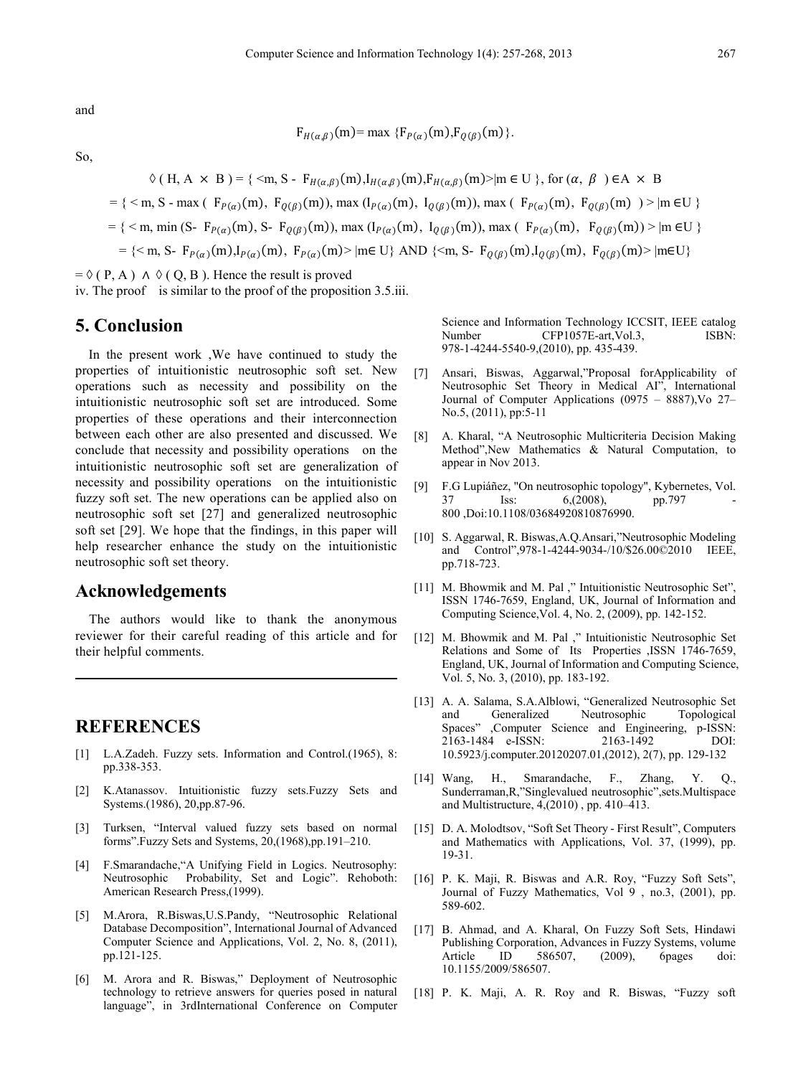and

$$
F_{H(\alpha,\beta)}(m) = \max \{ F_{P(\alpha)}(m), F_{Q(\beta)}(m) \}
$$

So,

 $\Diamond$  ( H, A  $\times$  B) = {  $\leq$  m, S -  $F_{H(\alpha,\beta)}(m)$ ,  $I_{H(\alpha,\beta)}(m)$ ,  $F_{H(\alpha,\beta)}(m)$   $\geq$  m  $\in$  U }, for  $(\alpha, \beta) \in A \times B$  $= {$  < m, S - max (  $F_{P(\alpha)}(m)$ ,  $F_{O(\beta)}(m)$ ), max (I<sub>P(a)</sub>(m), I<sub>O(β)</sub>(m)), max (  $F_{P(\alpha)}(m)$ ,  $F_{O(\beta)}(m)$  ) > |m ∈U }  $= {$  < m, min (S-  $F_{P(\alpha)}(m)$ , S-  $F_{O(\beta)}(m)$ ), max ( $I_{P(\alpha)}(m)$ ,  $I_{O(\beta)}(m)$ ), max ( $F_{P(\alpha)}(m)$ ,  $F_{O(\beta)}(m)$ ) > |m ∈U }  $=$  { < m, S-  $F_{P(\alpha)}(m)$ ,  $I_{P(\alpha)}(m)$ ,  $F_{P(\alpha)}(m)$  | m∈ U} AND { < m, S-  $F_{Q(\beta)}(m)$ ,  $I_{Q(\beta)}(m)$ ,  $F_{Q(\beta)}(m)$  | m∈U}

 $=\Diamond (P, A) \land \Diamond (Q, B)$ . Hence the result is proved iv. The proof is similar to the proof of the proposition 3.5.iii.

# **5. Conclusion**

In the present work ,We have continued to study the properties of intuitionistic neutrosophic soft set. New operations such as necessity and possibility on the intuitionistic neutrosophic soft set are introduced. Some properties of these operations and their interconnection between each other are also presented and discussed. We conclude that necessity and possibility operations on the intuitionistic neutrosophic soft set are generalization of necessity and possibility operations on the intuitionistic fuzzy soft set. The new operations can be applied also on neutrosophic soft set [27] and generalized neutrosophic soft set [29]. We hope that the findings, in this paper will help researcher enhance the study on the intuitionistic neutrosophic soft set theory.

## **Acknowledgements**

The authors would like to thank the anonymous reviewer for their careful reading of this article and for their helpful comments.

# **REFERENCES**

- [1] L.A.Zadeh. Fuzzy sets. Information and Control.(1965), 8: pp.338-353.
- [2] K.Atanassov. Intuitionistic fuzzy sets.Fuzzy Sets and Systems.(1986), 20,pp.87-96.
- [3] Turksen, "Interval valued fuzzy sets based on normal forms".Fuzzy Sets and Systems, 20,(1968),pp.191–210.
- [4] F.Smarandache,"A Unifying Field in Logics. Neutrosophy: Neutrosophic Probability, Set and Logic". Rehoboth: American Research Press,(1999).
- [5] M.Arora, R.Biswas,U.S.Pandy, "Neutrosophic Relational Database Decomposition", International Journal of Advanced Computer Science and Applications, Vol. 2, No. 8, (2011), pp.121-125.
- [6] M. Arora and R. Biswas," Deployment of Neutrosophic technology to retrieve answers for queries posed in natural language", in 3rdInternational Conference on Computer

Science and Information Technology ICCSIT, IEEE catalog Number CFP1057E-art, Vol.3, ISBN: 978-1-4244-5540-9,(2010), pp. 435-439.

- [7] Ansari, Biswas, Aggarwal,"Proposal forApplicability of Neutrosophic Set Theory in Medical AI", International Journal of Computer Applications (0975 – 8887),Vo 27– No.5, (2011), pp:5-11
- [8] A. Kharal, "A Neutrosophic Multicriteria Decision Making Method",New Mathematics & Natural Computation, to appear in Nov 2013.
- [9] F.G Lupiáñez, "On neutrosophic topology", Kybernetes, Vol. 37 Iss: 6,(2008), pp.797 800 ,Doi:10.1108/03684920810876990.
- [10] S. Aggarwal, R. Biswas,A.Q.Ansari,"Neutrosophic Modeling and Control",978-1-4244-9034-/10/\$26.00©2010 IEEE, pp.718-723.
- [11] M. Bhowmik and M. Pal ," Intuitionistic Neutrosophic Set", ISSN 1746-7659, England, UK, Journal of Information and Computing Science,Vol. 4, No. 2, (2009), pp. 142-152.
- [12] M. Bhowmik and M. Pal ," Intuitionistic Neutrosophic Set Relations and Some of Its Properties ,ISSN 1746-7659, England, UK, Journal of Information and Computing Science, Vol. 5, No. 3, (2010), pp. 183-192.
- [13] A. A. Salama, S.A.Alblowi, "Generalized Neutrosophic Set and Generalized Neutrosophic Topological Spaces" ,Computer Science and Engineering, p-ISSN: 2163-1484 e-ISSN: 2163-1492 DOI: 10.5923/j.computer.20120207.01,(2012), 2(7), pp. 129-132
- [14] Wang, H., Smarandache, F., Zhang, Y. Q., Sunderraman,R,"Singlevalued neutrosophic",sets.Multispace and Multistructure, 4,(2010) , pp. 410–413.
- [15] D. A. Molodtsov, "Soft Set Theory First Result", Computers and Mathematics with Applications, Vol. 37, (1999), pp. 19-31.
- [16] P. K. Maji, R. Biswas and A.R. Roy, "Fuzzy Soft Sets", Journal of Fuzzy Mathematics, Vol 9 , no.3, (2001), pp. 589-602.
- [17] B. Ahmad, and A. Kharal, On Fuzzy Soft Sets, Hindawi Publishing Corporation, Advances in Fuzzy Systems, volume Article ID 586507, (2009), 6pages doi: 10.1155/2009/586507.
- [18] P. K. Maji, A. R. Roy and R. Biswas, "Fuzzy soft